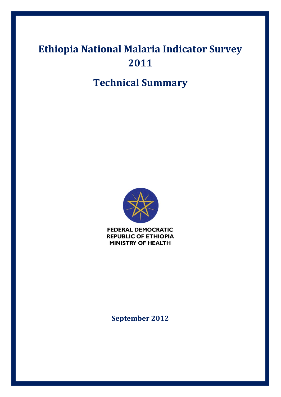# **Ethiopia National Malaria Indicator Survey 2011**

## **Technical Summary**



**FEDERAL DEMOCRATIC REPUBLIC OF ETHIOPIA MINISTRY OF HEALTH** 

**September 2012**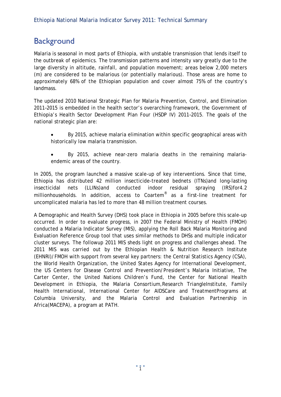### **Background**

Malaria is seasonal in most parts of Ethiopia, with unstable transmission that lends itself to the outbreak of epidemics. The transmission patterns and intensity vary greatly due to the large diversity in altitude, rainfall, and population movement; areas below 2,000 meters (m) are considered to be malarious (or potentially malarious). Those areas are home to approximately 68% of the Ethiopian population and cover almost 75% of the country's landmass.

The updated 2010 National Strategic Plan for Malaria Prevention, Control, and Elimination 2011–2015 is embedded in the health sector's overarching framework, the Government of Ethiopia's Health Sector Development Plan Four (HSDP IV) 2011–2015. The goals of the national strategic plan are:

- By 2015, achieve malaria elimination within specific geographical areas with historically low malaria transmission.
- By 2015, achieve near-zero malaria deaths in the remaining malariaendemic areas of the country.

In 2005, the program launched a massive scale-up of key interventions. Since that time, Ethiopia has distributed 42 million insecticide-treated bednets (ITNs)and long-lasting insecticidal nets (LLINs)and conducted indoor residual spraying (IRS)for4.2 millionhouseholds. In addition, access to Coartem® as a first-line treatment for uncomplicated malaria has led to more than 48 million treatment courses.

A Demographic and Health Survey (DHS) took place in Ethiopia in 2005 before this scale-up occurred. In order to evaluate progress, in 2007 the Federal Ministry of Health (FMOH) conducted a Malaria Indicator Survey (MIS), applying the Roll Back Malaria Monitoring and Evaluation Reference Group tool that uses similar methods to DHSs and multiple indicator cluster surveys. The followup 2011 MIS sheds light on progress and challenges ahead. The 2011 MIS was carried out by the Ethiopian Health & Nutrition Research Institute (EHNRI)/FMOH with support from several key partners: the Central Statistics Agency (CSA), the World Health Organization, the United States Agency for International Development, the US Centers for Disease Control and Prevention/President's Malaria Initiative, The Carter Center, the United Nations Children's Fund, the Center for National Health Development in Ethiopia, the Malaria Consortium, Research TriangleInstitute, Family Health International, International Center for AIDSCare and TreatmentPrograms at Columbia University, and the Malaria Control and Evaluation Partnership in Africa(MACEPA), a program at PATH.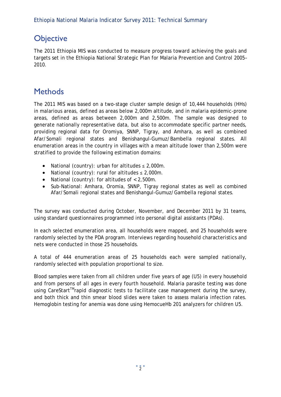### **Objective**

The 2011 Ethiopia MIS was conducted to measure progress toward achieving the goals and targets set in the Ethiopia National Strategic Plan for Malaria Prevention and Control 2005– 2010.

### **Methods**

The 2011 MIS was based on a two-stage cluster sample design of 10,444 households (HHs) in malarious areas, defined as areas below 2,000m altitude, and in malaria epidemic-prone areas, defined as areas between 2,000m and 2,500m. The sample was designed to generate nationally representative data, but also to accommodate specific partner needs, providing regional data for Oromiya, SNNP, Tigray, and Amhara, as well as combined Afar/Somali regional states and Benishangul-Gumuz/Bambella regional states. All enumeration areas in the country in villages with a mean altitude lower than 2,500m were stratified to provide the following estimation domains:

- National (country): urban for altitudes ≤ 2,000m.
- National (country): rural for altitudes ≤ 2,000m.
- National (country): for altitudes of < 2,500m.
- Sub-National: Amhara, Oromia, SNNP, Tigray regional states as well as combined Afar/Somali regional states and Benishangul-Gumuz/Gambella regional states.

The survey was conducted during October, November, and December 2011 by 31 teams, using standard questionnaires programmed into personal digital assistants (PDAs).

In each selected enumeration area, all households were mapped, and 25 households were randomly selected by the PDA program. Interviews regarding household characteristics and nets were conducted in those 25 households.

A total of 444 enumeration areas of 25 households each were sampled nationally, randomly selected with population proportional to size.

Blood samples were taken from all children under five years of age (U5) in every household and from persons of all ages in every fourth household. Malaria parasite testing was done using CareStart<sup>TM</sup>rapid diagnostic tests to facilitate case management during the survey, and both thick and thin smear blood slides were taken to assess malaria infection rates. Hemoglobin testing for anemia was done using HemocueHb 201 analyzers for children U5.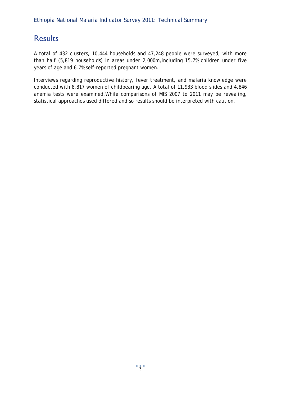### **Results**

A total of 432 clusters, 10,444 households and 47,248 people were surveyed, with more than half (5,819 households) in areas under 2,000m,including 15.7% children under five years of age and 6.7% self-reported pregnant women.

Interviews regarding reproductive history, fever treatment, and malaria knowledge were conducted with 8,817 women of childbearing age. A total of 11,933 blood slides and 4,846 anemia tests were examined.While comparisons of MIS 2007 to 2011 may be revealing, statistical approaches used differed and so results should be interpreted with caution.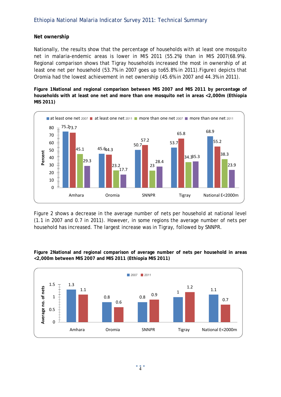#### **Net ownership**

Nationally, the results show that the percentage of households with at least one mosquito net in malaria-endemic areas is lower in MIS 2011 (55.2%) than in MIS 2007(68.9%). Regional comparison shows that Tigray households increased the most in ownership of at least one net per household (53.7% in 2007 goes up to65.8% in 2011).Figure1 depicts that Oromia had the lowest achievement in net ownership (45.6% in 2007 and 44.3% in 2011).

**Figure 1National and regional comparison between MIS 2007 and MIS 2011 by percentage of households with at least one net and more than one mosquito net in areas <2,000m (Ethiopia MIS 2011)**



Figure 2 shows a decrease in the average number of nets per household at national level (1.1 in 2007 and 0.7 in 2011). However, in some regions the average number of nets per household has increased. The largest increase was in Tigray, followed by SNNPR.



**Figure 2National and regional comparison of average number of nets per household in areas <2,000m between MIS 2007 and MIS 2011 (Ethiopia MIS 2011)**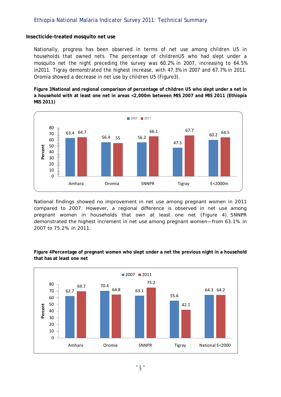#### **Insecticide-treated mosquito net use**

Nationally, progress has been observed in terms of net use among children U5 in households that owned nets. The percentage of childrenU5 who had slept under a mosquito net the night preceding the survey was 60.2% in 2007, increasing to 64.5% in2011. Tigray demonstrated the highest increase, with 47.3% in 2007 and 67.7% in 2011. Oromia showed a decrease in net use by children U5 (Figure3).

**Figure 3National and regional comparison of percentage of children U5 who slept under a net in a household with at least one net in areas <2,000m between MIS 2007 and MIS 2011 (Ethiopia MIS 2011)**



National findings showed no improvement in net use among pregnant women in 2011 compared to 2007. However, a regional difference is observed in net use among pregnant women in households that own at least one net (Figure 4). SNNPR demonstrated the highest increment in net use among pregnant women—from 63.1% in 2007 to 75.2% in 2011.



**Figure 4Percentage of pregnant women who slept under a net the previous night in a household that has at least one net**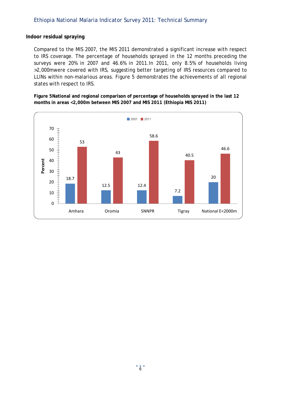#### **Indoor residual spraying**

Compared to the MIS 2007, the MIS 2011 demonstrated a significant increase with respect to IRS coverage. The percentage of households sprayed in the 12 months preceding the surveys were 20% in 2007 and 46.6% in 2011.In 2011, only 8.5% of households living >2,000mwere covered with IRS, suggesting better targeting of IRS resources compared to LLINs within non-malarious areas. Figure 5 demonstrates the achievements of all regional states with respect to IRS.

**Figure 5National and regional comparison of percentage of households sprayed in the last 12 months in areas <2,000m between MIS 2007 and MIS 2011 (Ethiopia MIS 2011)**

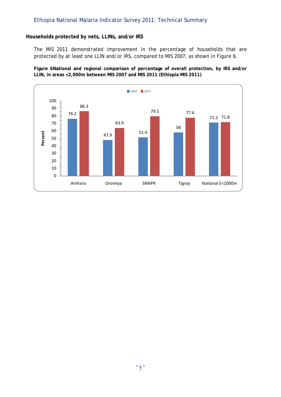#### **Households protected by nets, LLINs, and/or IRS**

The MIS 2011 demonstrated improvement in the percentage of households that are protected by at least one LLIN and/or IRS, compared to MIS 2007, as shown in Figure 6.

**Figure 6National and regional comparison of percentage of overall protection, by IRS and/or LLIN, in areas <2,000m between MIS 2007 and MIS 2011 (Ethiopia MIS 2011)**

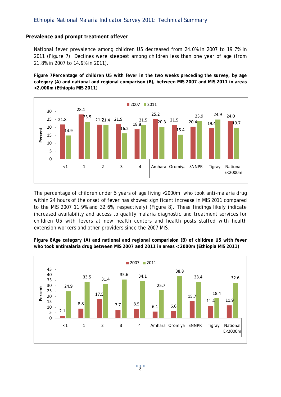#### **Prevalence and prompt treatment offever**

National fever prevalence among children U5 decreased from 24.0% in 2007 to 19.7% in 2011 (Figure 7). Declines were steepest among children less than one year of age (from 21.8% in 2007 to 14.9% in 2011).

**Figure 7Percentage of children U5 with fever in the two weeks preceding the survey, by age category (A) and national and regional comparison (B), between MIS 2007 and MIS 2011 in areas <2,000m (Ethiopia MIS 2011)**



The percentage of children under 5 years of age living <2000m who took anti-malaria drug within 24 hours of the onset of fever has showed significant increase in MIS 2011 compared to the MIS 2007 11.9% and 32.6%, respectively) (Figure 8). These findings likely indicate increased availability and access to quality malaria diagnostic and treatment services for children U5 with fevers at new health centers and health posts staffed with health extension workers and other providers since the 2007 MIS.



**Figure 8Age category (A) and national and regional comparision (B) of children U5 with fever who took antimalaria drug between MIS 2007 and 2011 in areas < 2000m (Ethiopia MIS 2011)**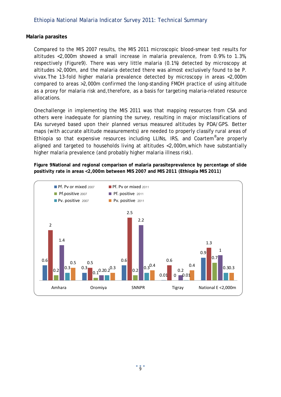#### **Malaria parasites**

Compared to the MIS 2007 results, the MIS 2011 microscopic blood-smear test results for altitudes <2,000m showed a small increase in malaria prevalence, from 0.9% to 1.3%, respectively (Figure9). There was very little malaria (0.1%) detected by microscopy at altitudes >2,000m, and the malaria detected there was almost exclusively found to be *P. vivax*.The 13-fold higher malaria prevalence detected by microscopy in areas <2,000m compared to areas >2,000m confirmed the long-standing FMOH practice of using altitude as a proxy for malaria risk and,therefore, as a basis for targeting malaria-related resource allocations.

Onechallenge in implementing the MIS 2011 was that mapping resources from CSA and others were inadequate for planning the survey, resulting in major misclassifications of EAs surveyed based upon their planned versus measured altitudes by PDA/GPS. Better maps (with accurate altitude measurements) are needed to properly classify rural areas of Ethiopia so that expensive resources including LLINs, IRS, and Coartem®are properly aligned and targeted to households living at altitudes <2,000m,which have substantially higher malaria prevalence (and probably higher malaria illness risk).

**Figure 9National and regional comparison of malaria parasiteprevalence by percentage of slide positivity rate in areas <2,000m between MIS 2007 and MIS 2011 (Ethiopia MIS 2011)**

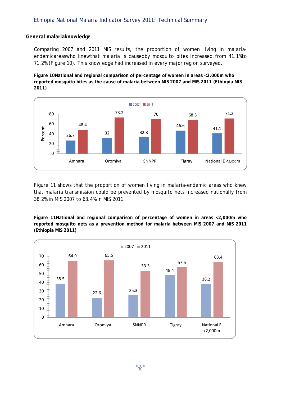#### **General malariaknowledge**

Comparing 2007 and 2011 MIS results, the proportion of women living in malariaendemicareaswho knewthat malaria is causedby mosquito bites increased from 41.1%to 71.2% (Figure 10). This knowledge had increased in every major region surveyed.

**Figure 10National and regional comparison of percentage of women in areas <2,000m who reported mosquito bites as the cause of malaria between MIS 2007 and MIS 2011 (Ethiopia MIS 2011)**



Figure 11 shows that the proportion of women living in malaria-endemic areas who knew that malaria transmission could be prevented by mosquito nets increased nationally from 38.2% in MIS 2007 to 63.4% in MIS 2011.

**Figure 11National and regional comparison of percentage of women in areas <2,000m who reported mosquito nets as a prevention method for malaria between MIS 2007 and MIS 2011 (Ethiopia MIS 2011)**